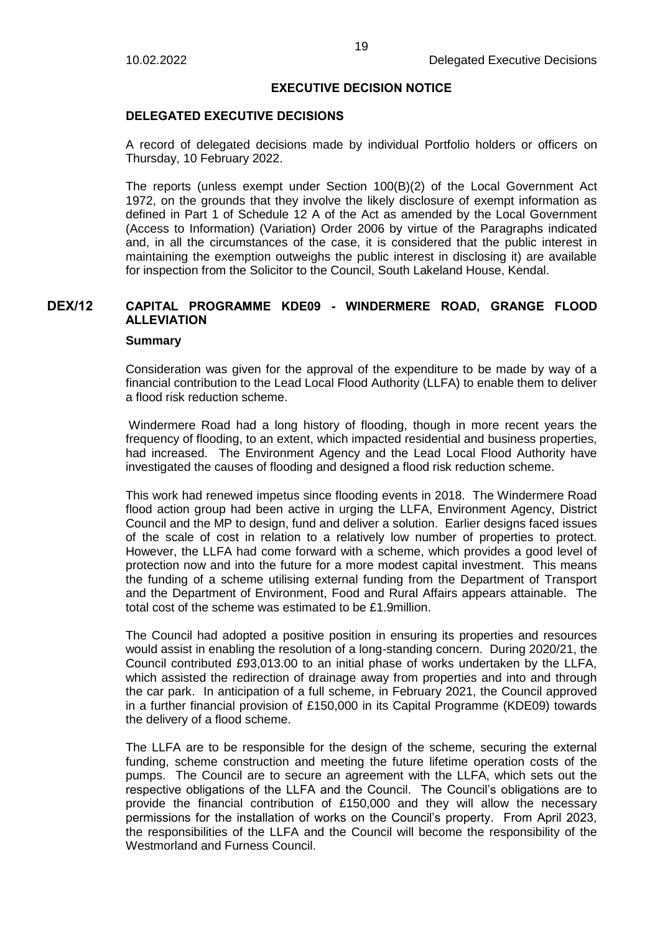### **EXECUTIVE DECISION NOTICE**

### **DELEGATED EXECUTIVE DECISIONS**

A record of delegated decisions made by individual Portfolio holders or officers on Thursday, 10 February 2022.

The reports (unless exempt under Section 100(B)(2) of the Local Government Act 1972, on the grounds that they involve the likely disclosure of exempt information as defined in Part 1 of Schedule 12 A of the Act as amended by the Local Government (Access to Information) (Variation) Order 2006 by virtue of the Paragraphs indicated and, in all the circumstances of the case, it is considered that the public interest in maintaining the exemption outweighs the public interest in disclosing it) are available for inspection from the Solicitor to the Council, South Lakeland House, Kendal.

# **DEX/12 CAPITAL PROGRAMME KDE09 - WINDERMERE ROAD, GRANGE FLOOD ALLEVIATION**

#### **Summary**

Consideration was given for the approval of the expenditure to be made by way of a financial contribution to the Lead Local Flood Authority (LLFA) to enable them to deliver a flood risk reduction scheme.

Windermere Road had a long history of flooding, though in more recent years the frequency of flooding, to an extent, which impacted residential and business properties, had increased. The Environment Agency and the Lead Local Flood Authority have investigated the causes of flooding and designed a flood risk reduction scheme.

This work had renewed impetus since flooding events in 2018. The Windermere Road flood action group had been active in urging the LLFA, Environment Agency, District Council and the MP to design, fund and deliver a solution. Earlier designs faced issues of the scale of cost in relation to a relatively low number of properties to protect. However, the LLFA had come forward with a scheme, which provides a good level of protection now and into the future for a more modest capital investment. This means the funding of a scheme utilising external funding from the Department of Transport and the Department of Environment, Food and Rural Affairs appears attainable. The total cost of the scheme was estimated to be £1.9million.

The Council had adopted a positive position in ensuring its properties and resources would assist in enabling the resolution of a long-standing concern. During 2020/21, the Council contributed £93,013.00 to an initial phase of works undertaken by the LLFA, which assisted the redirection of drainage away from properties and into and through the car park. In anticipation of a full scheme, in February 2021, the Council approved in a further financial provision of £150,000 in its Capital Programme (KDE09) towards the delivery of a flood scheme.

The LLFA are to be responsible for the design of the scheme, securing the external funding, scheme construction and meeting the future lifetime operation costs of the pumps. The Council are to secure an agreement with the LLFA, which sets out the respective obligations of the LLFA and the Council. The Council's obligations are to provide the financial contribution of £150,000 and they will allow the necessary permissions for the installation of works on the Council's property. From April 2023, the responsibilities of the LLFA and the Council will become the responsibility of the Westmorland and Furness Council.